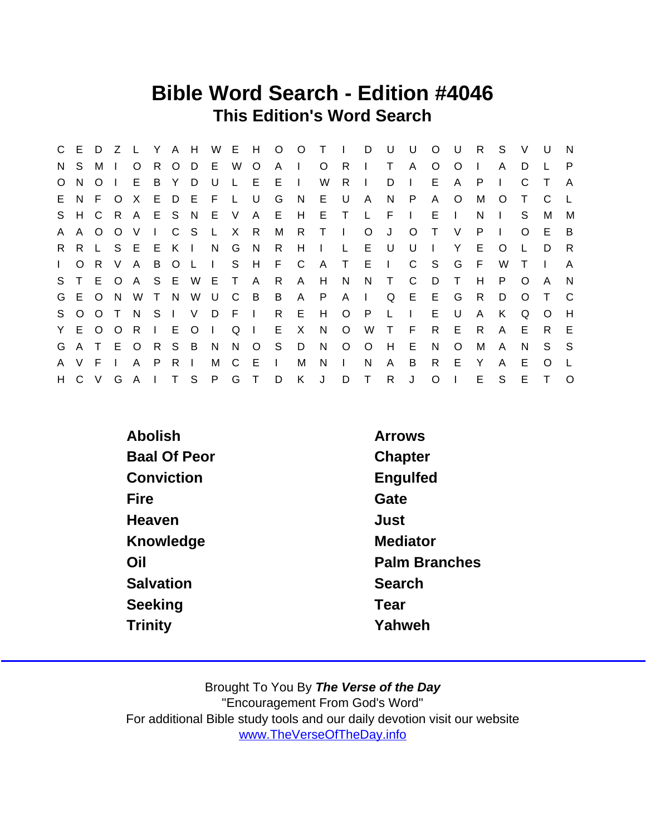## Bible Word Search - Edition #4046 This Edition's Word Search

|              | C E          | D        | Z       | $\mathsf{L}$ | Y              | A H     |                |              | W E H        |                |              | $O$ $O$        | $\top$       | $\mathbf{L}$ | D            | U            | U              | $\circ$      | U            | R.  | S            | $\vee$   | U      | $\overline{N}$ |
|--------------|--------------|----------|---------|--------------|----------------|---------|----------------|--------------|--------------|----------------|--------------|----------------|--------------|--------------|--------------|--------------|----------------|--------------|--------------|-----|--------------|----------|--------|----------------|
| N.           | S.           | м        |         | O            | R.             | $\circ$ | D              | E.           | W            | O              | $\mathsf{A}$ | $\blacksquare$ | $\circ$      | $\mathsf{R}$ | $\mathbf{L}$ | T.           | A              | O            | $\circ$      |     | A            | D        |        | P              |
| $\circ$      | N            | $\Omega$ |         | E.           | B              | Y       | D              | $\cup$       | $\mathsf{L}$ | E              | E            | $\mathbf{I}$   | W            | R            | $\mathbf{I}$ | D            | $\mathbf{I}$   | E            | A            | P   |              | C        |        | $\mathsf{A}$   |
|              | E N          | F.       | $\circ$ | $\times$     | E.             | D       | - E            | - F          | L.           | U              | G            | N              | E.           | U            | $\mathsf{A}$ | N.           | P              | A            | $\circ$      | М   | $\circ$      | Τ        | C      |                |
|              | S H C        |          | R       | A            |                | E S N   |                | E            | V            | A              | E            | H              | E            | $\top$       | $\mathsf{L}$ | E            | $\blacksquare$ | E.           | $\mathbf{I}$ | N   | $\mathbf{L}$ | S        | М      | M              |
| A            | $\mathsf{A}$ | O        | $\circ$ | V            | $\mathbf{L}$   |         | C S            | $\mathsf{L}$ | $\mathsf{X}$ | R              | M            | R              | $\top$       | $\perp$      | $\circ$      | J            | $\circ$        | $\top$       | $\vee$       | P.  | $\Box$       | $\Omega$ | E.     | B              |
| R.           | R.           | L.       | S.      |              | E E            | K       | $\Box$         | N            | G            | N,             | $\mathsf{R}$ | H              | $\mathbf{L}$ | L            | E.           | U U          | U              | $\mathbf{I}$ | Y            | E   | $\circ$      |          | D      | -R             |
| $\mathbf{L}$ | $\circ$      | R.       | V       | A            | B              | $\circ$ | $\mathsf{L}$   | $\Box$       |              |                | S H F C      |                | A            | $\top$       | -E           | $\Box$       | C              | - S          | G            | - F | W            |          |        | A              |
| S.           |              |          | E O     | $\mathsf{A}$ |                |         | S E W          | - E          | $\top$       | A              | R            | A              | H            | N            | N            | $\top$       | C              | D            | $\mathsf{T}$ | H   | P            | O        | A      | N              |
|              | G E O        |          | N.      | W            | $\top$         | N.      | W              | U.           | C            | $\overline{B}$ | B            | $\mathsf{A}$   | P.           | $A \mid$     |              | Q            | $E$ $E$        |              | G            | R.  | D            | $\Omega$ |        | C              |
| S.           | $\Omega$     | $\Omega$ |         | N            | S <sub>1</sub> |         | V              | D            | -F.          | $\sim 1$       | R            | E              | H            | $\circ$      | $\mathsf{P}$ | $\mathsf{L}$ | $\mathbf{L}$   | E.           | U            | A   | K            | Q        | O      | H              |
|              | Y E O        |          | $\circ$ | R            | $\mathbf{L}$   | Е       | $\circ$        | $\mathbf{L}$ | Q            |                | Е            | X.             | N            | $\circ$      | W            | $\top$       | E              | R.           | E            | R   | A            | Е        | R.     | - E            |
| G            | A            | $\top$   | E       | $\circ$      | R S            |         | $\overline{B}$ | N            | N            | $\circ$        | S            | D              | N            | $\circ$      | $\circ$      | H            | Е              | N            | $\circ$      | м   | A            | N        | S.     | S.             |
| A            | V.           | F        |         | A            | P.             | R.      | $\blacksquare$ | М            | C            | E              | $\Box$       | M              | N            | $\mathbf{L}$ | N            | A            | B              | R            | E            | Y   | A            | Е        | O      |                |
| H            | $\mathsf{C}$ | $\vee$   | G       | $\mathsf{A}$ | $\mathbf{L}$   | $\top$  | - S            | P            | G            | $\top$         | D            | K.             | J            | D            | $\top$       | R.           | J              | $\circ$      | Т            | E   | S            | Е        | $\top$ | $\Omega$       |

| Abolish             | <b>Arrows</b>        |
|---------------------|----------------------|
| <b>Baal Of Peor</b> | Chapter              |
| Conviction          | Engulfed             |
| Fire                | Gate                 |
| Heaven              | Just                 |
| Knowledge           | <b>Mediator</b>      |
| Oil                 | <b>Palm Branches</b> |
| Salvation           | Search               |
| Seeking             | Tear                 |
| <b>Trinity</b>      | Yahweh               |
|                     |                      |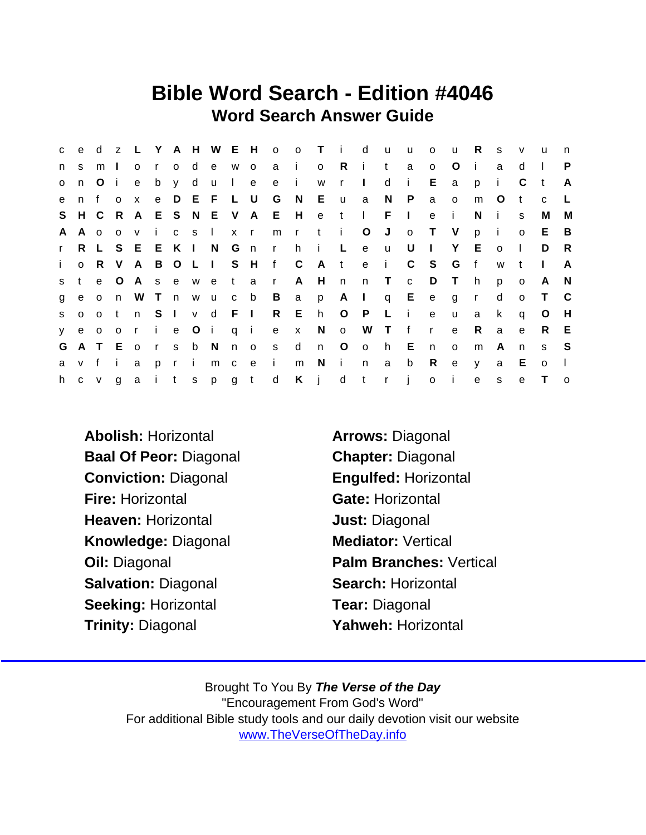## Bible Word Search - Edition #4046 Word Search Answer Guide

| C            | $\mathbf{e}$ | d              | Z                       |              |              |          |              | L Y A H W E H |                       |             | o o T        |              |              | i d                     |                         | <b>u</b>     | <b>u</b>     | $\mathsf{o}$   | u            | R            | S            | $\mathsf{v}$ | u            | n            |
|--------------|--------------|----------------|-------------------------|--------------|--------------|----------|--------------|---------------|-----------------------|-------------|--------------|--------------|--------------|-------------------------|-------------------------|--------------|--------------|----------------|--------------|--------------|--------------|--------------|--------------|--------------|
| n            | s.           | m              | $\mathbf{I}$            | $\circ$      | $\mathsf{r}$ |          | o d          |               | e w o                 |             |              | a i          | $\mathsf{o}$ | $\mathsf{R}$            | j.                      | $\mathbf{t}$ | a            | O              | $\circ$      | j.           | a            | d            |              | P            |
| $\mathbf{o}$ | n            | O              | -i-                     | e            |              | b y d    |              | $\mathsf{u}$  | $\mathbf{1}$          | e           |              | e i          | W            | $\mathbf{r}$            | $\perp$                 | d            | $\mathbf{i}$ | Е              | a            | p            | $\mathbf{i}$ | C            | $-t$         | A            |
| $\mathbf{e}$ | n f          |                | $\Omega$                | $\mathsf{x}$ |              |          |              | e D E F L U   |                       |             | G            | N            | E.           | $\mathsf{u}$            | a                       | N            | P            | a              | $\mathsf{o}$ | m            | $\circ$      | t.           | $\mathbf{C}$ |              |
|              | S H C        |                | - R                     | A            |              |          |              |               |                       | E S N E V A | E            | H            | e t          |                         | $\mathbf{L}$            | $F \cup$     |              | $\mathbf e$    | j.           | N            | $\mathbf{I}$ | S            | M            | M            |
| A            | A o          |                | $\overline{O}$          | $\mathsf{V}$ | i.           |          | $C$ S        | $\mathbf{L}$  | $x \rightharpoonup r$ |             | m            | rti          |              |                         | $\circ$                 | J            | $\mathsf{o}$ | $\top$         | V            | p            | $-1$         | $\mathsf{o}$ | E.           | - B          |
| $\mathbf{r}$ |              | R L            | S.                      | E.           |              | E K I    |              | N.            | G n                   |             | $\mathsf{r}$ | h.           | $\mathbf{i}$ | $\mathbb{L}^+$          | e                       | <b>u</b>     | U            | $\Box$         | Y            | E.           | $\Omega$     | $\mathbf{L}$ | D            | -R           |
| $\mathbf{i}$ | $\circ$      | R.             | $\vee$                  | A            |              |          |              | B O L I       |                       | S H         | f C          |              |              | A t                     | e i                     |              | $\mathbf{C}$ | $^{\circ}$ S   | G            | f            | W            |              |              | A            |
| S.           | $\mathbf{t}$ | $\mathbf{e}$   | $\circ$                 | $\mathsf{A}$ | S            |          | e w e        |               | t a                   |             | $\mathsf{r}$ | $\mathsf{A}$ | H            | n                       | n T                     |              | $\mathbf{C}$ | D              | $\top$       | h.           | p            | $\circ$      | A            | <sup>N</sup> |
| g            | e            | $\overline{O}$ | n                       | W            | T n          |          |              | w u           | c b                   |             | B            | a a          | p            | $A \mid$                |                         |              | q $E$        | e              | g            | $\mathsf{r}$ | d            | $\Omega$     | $\top$       | $\mathbf{C}$ |
| S.           | $\mathbf{o}$ | $\Omega$       | $\mathbf{t}$            | n            |              | $S \mid$ |              | v d F I       |                       |             | $R$ E        |              | h.           | $O$ $P$                 |                         | $L - i$      |              | $\mathbf{e}$   | $\mathsf{u}$ | a            | $\mathsf{k}$ | q            | O            | H            |
| y.           |              | e o            | $\overline{\mathbf{0}}$ | $\mathsf{r}$ |              |          |              | i e Oi        | qi                    |             |              | e x          | N            | $\overline{\mathsf{O}}$ | W                       | T f          |              | $\mathsf{r}$   | $\mathbf{e}$ | R            | a            | e            | R.           | E            |
| G            |              | A T E          |                         | $\circ$      |              |          | rs b N       |               | $n$ o                 |             | S            | $\mathsf{d}$ | n            | $\circ$                 | $\overline{\mathsf{O}}$ | h E          |              | n              | $\circ$      | m            | A            | n.           | s            | -S           |
| a            | v f          |                | $\mathbf{I}$            | a            | p r          |          | $\mathbf{I}$ | m             |                       | $c$ $e$     | $\sim 1$ .   | m            | N            | $\mathbf{I}$            | n                       | a            | b            | R              | $\mathbf{e}$ | $\mathsf{V}$ | a            | E            | $\circ$      | $\mathbf{I}$ |
| h.           | $\mathbf{C}$ | V              | g                       |              |              | a i t    | S            |               | p g t                 |             | d            | Kjd          |              |                         | t                       | $r - j$      |              | $\mathsf{o}\,$ | $\sim 1$ .   | $\mathsf{e}$ | s            | e            | $\top$       | $\circ$      |

Abolish: Horizontal **Arrows: Diagonal** Baal Of Peor: Diagonal Chapter: Diagonal Conviction: Diagonal Engulfed: Horizontal Fire: Horizontal Gate: Horizontal Heaven: Horizontal **Heaven:** Horizontal Knowledge: Diagonal Mediator: Vertical Salvation: Diagonal Search: Horizontal Seeking: Horizontal Tear: Diagonal Trinity: Diagonal **Trinity: Diagonal** Yahweh: Horizontal

Oil: Diagonal **Palm Branches: Vertical**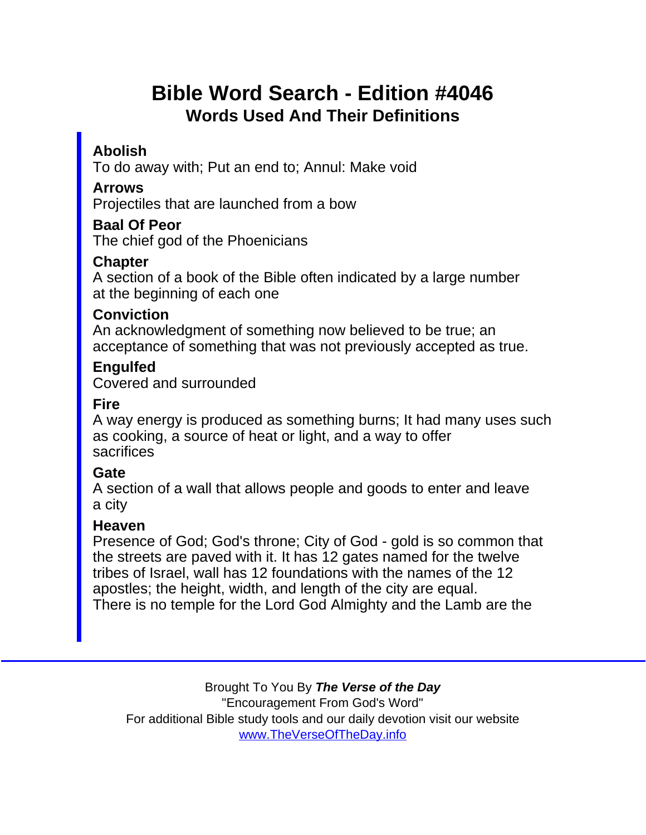# Bible Word Search - Edition #4046 Words Used And Their Definitions

### Abolish

To do away with; Put an end to; Annul: Make void

### Arrows

Projectiles that are launched from a bow

#### Baal Of Peor

The chief god of the Phoenicians

### **Chapter**

A section of a book of the Bible often indicated by a large number at the beginning of each one

#### **Conviction**

An acknowledgment of something now believed to be true; an acceptance of something that was not previously accepted as true.

#### **Engulfed** Covered and surrounded

### Fire

A way energy is produced as something burns; It had many uses such as cooking, a source of heat or light, and a way to offer sacrifices

### **Gate**

A section of a wall that allows people and goods to enter and leave a city

### Heaven

Presence of God; God's throne; City of God - gold is so common that the streets are paved with it. It has 12 gates named for the twelve tribes of Israel, wall has 12 foundations with the names of the 12 apostles; the height, width, and length of the city are equal. There is no temple for the Lord God Almighty and the Lamb are the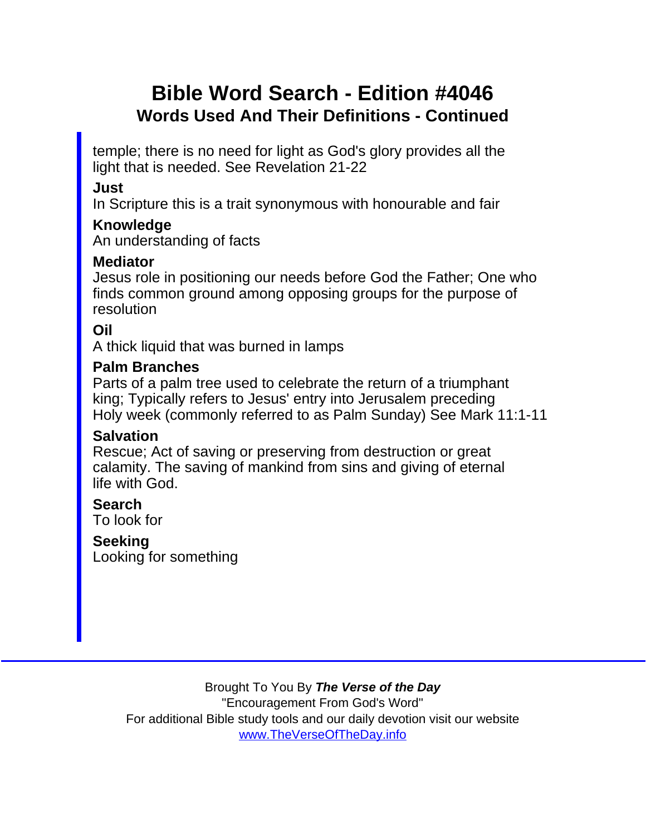# Bible Word Search - Edition #4046 Words Used And Their Definitions - Continued

temple; there is no need for light as God's glory provides all the light that is needed. See Revelation 21-22

Just

In Scripture this is a trait synonymous with honourable and fair

Knowledge

An understanding of facts

**Mediator** 

Jesus role in positioning our needs before God the Father; One who finds common ground among opposing groups for the purpose of resolution

Oil

A thick liquid that was burned in lamps

Palm Branches

Parts of a palm tree used to celebrate the return of a triumphant king; Typically refers to Jesus' entry into Jerusalem preceding Holy week (commonly referred to as Palm Sunday) See Mark 11:1-11

**Salvation** 

Rescue; Act of saving or preserving from destruction or great calamity. The saving of mankind from sins and giving of eternal life with God.

Search To look for

**Seeking** Looking for something